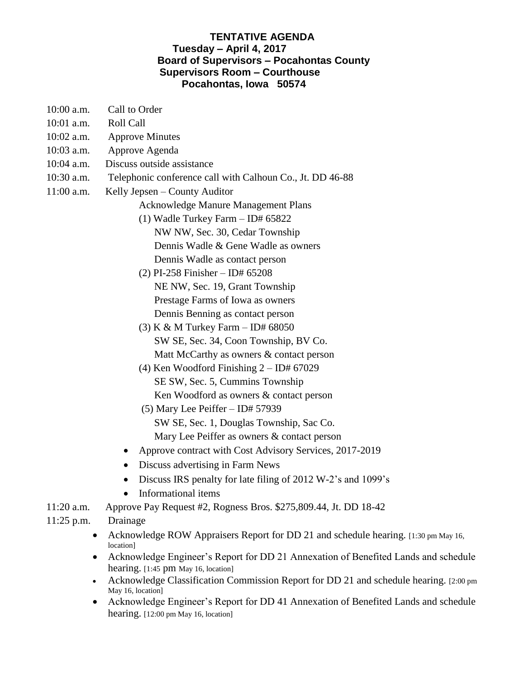## **TENTATIVE AGENDA Tuesday – April 4, 2017 Board of Supervisors – Pocahontas County Supervisors Room – Courthouse Pocahontas, Iowa 50574**

- 10:00 a.m. Call to Order
- 10:01 a.m. Roll Call
- 10:02 a.m. Approve Minutes
- 10:03 a.m. Approve Agenda
- 10:04 a.m. Discuss outside assistance
- 10:30 a.m. Telephonic conference call with Calhoun Co., Jt. DD 46-88
- 11:00 a.m. Kelly Jepsen County Auditor
	- Acknowledge Manure Management Plans
	- (1) Wadle Turkey Farm ID# 65822 NW NW, Sec. 30, Cedar Township Dennis Wadle & Gene Wadle as owners Dennis Wadle as contact person
	- (2) PI-258 Finisher ID# 65208 NE NW, Sec. 19, Grant Township Prestage Farms of Iowa as owners Dennis Benning as contact person
	- (3) K & M Turkey Farm ID# 68050 SW SE, Sec. 34, Coon Township, BV Co. Matt McCarthy as owners & contact person
	- (4) Ken Woodford Finishing  $2 ID# 67029$  SE SW, Sec. 5, Cummins Township Ken Woodford as owners & contact person
	- (5) Mary Lee Peiffer ID# 57939 SW SE, Sec. 1, Douglas Township, Sac Co. Mary Lee Peiffer as owners & contact person
	- Approve contract with Cost Advisory Services, 2017-2019
	- Discuss advertising in Farm News
	- Discuss IRS penalty for late filing of 2012 W-2's and 1099's
	- Informational items
- 11:20 a.m. Approve Pay Request #2, Rogness Bros. \$275,809.44, Jt. DD 18-42
- 11:25 p.m. Drainage
	- Acknowledge ROW Appraisers Report for DD 21 and schedule hearing. [1:30 pm May 16, location]
	- Acknowledge Engineer's Report for DD 21 Annexation of Benefited Lands and schedule hearing. [1:45 pm May 16, location]
	- Acknowledge Classification Commission Report for DD 21 and schedule hearing. [2:00 pm May 16, location]
	- Acknowledge Engineer's Report for DD 41 Annexation of Benefited Lands and schedule hearing. [12:00 pm May 16, location]